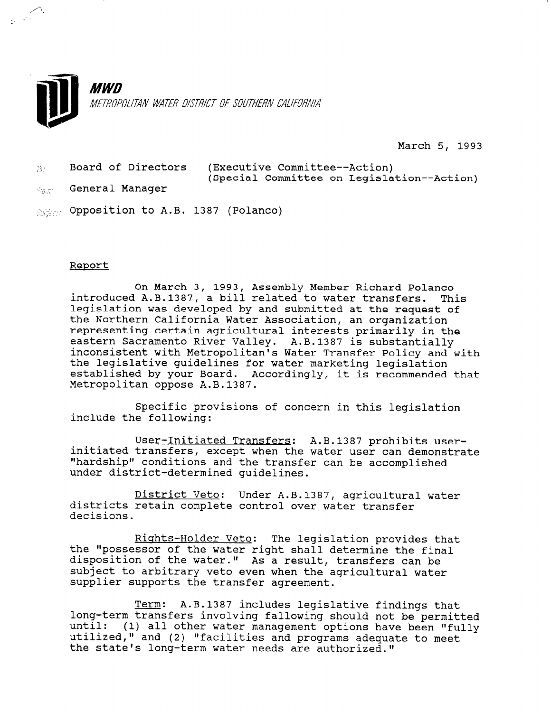

March 5, 1993

- $\%$  Board of Directors (Executive Committee--Action) (Special Committee on Legislation--Action)
- the General Manager

/'.

order to A.B. 1387 (Polanco)

## Report

On March 3, 1993, Assembly Member Richard Polanco introduced A.B.1387, a bill related to water transfers. This legislation was developed by and submitted at the request of the Northern California Water Association, an organization representing certain agricultural interests primarily in the eastern Sacramento River Valley. A.B.1387 is substantially inconsistent with Metropolitan's Water Transfer Policy and with the legislative guidelines for water marketing legislation established by your Board. Accordingly, it is recommended that Metropolitan oppose A.B.1387.

Specific provisions of concern in this legislation include the following:

User-Initiated Transfers: A.B.1387 prohibits userinitiated transfers, except when the water user can demonstrate initiated transiers, except when the water user Can demonstructure. under district determined guideline

District Veto: Under A.B.1387, agricultural water DISTRICT VELO: UNDER A.B.1387, agriculture decisions.<br>UISCLIC

Rights-Holder Veto: The legislation provides that <u>kights-holder veto</u>: The legislation provides the final determine the final determine the final determine the f disposition of the water. Tight shall determine the find uisposition of the water." As a result, transfers can be subject to arbitrary veto even when the agricultural water<br>supplier supports the transfer agreement.

Term: A.B.1387 includes legislative findings that long-term: A.B.138/ Includes legislative findings that long-term transfers involving fallowing should not be permitted until: (1) all other water management options have been "fully utilized," and (2) "facilities and programs adequate to meet<br>the state's long-term water needs are authorized."